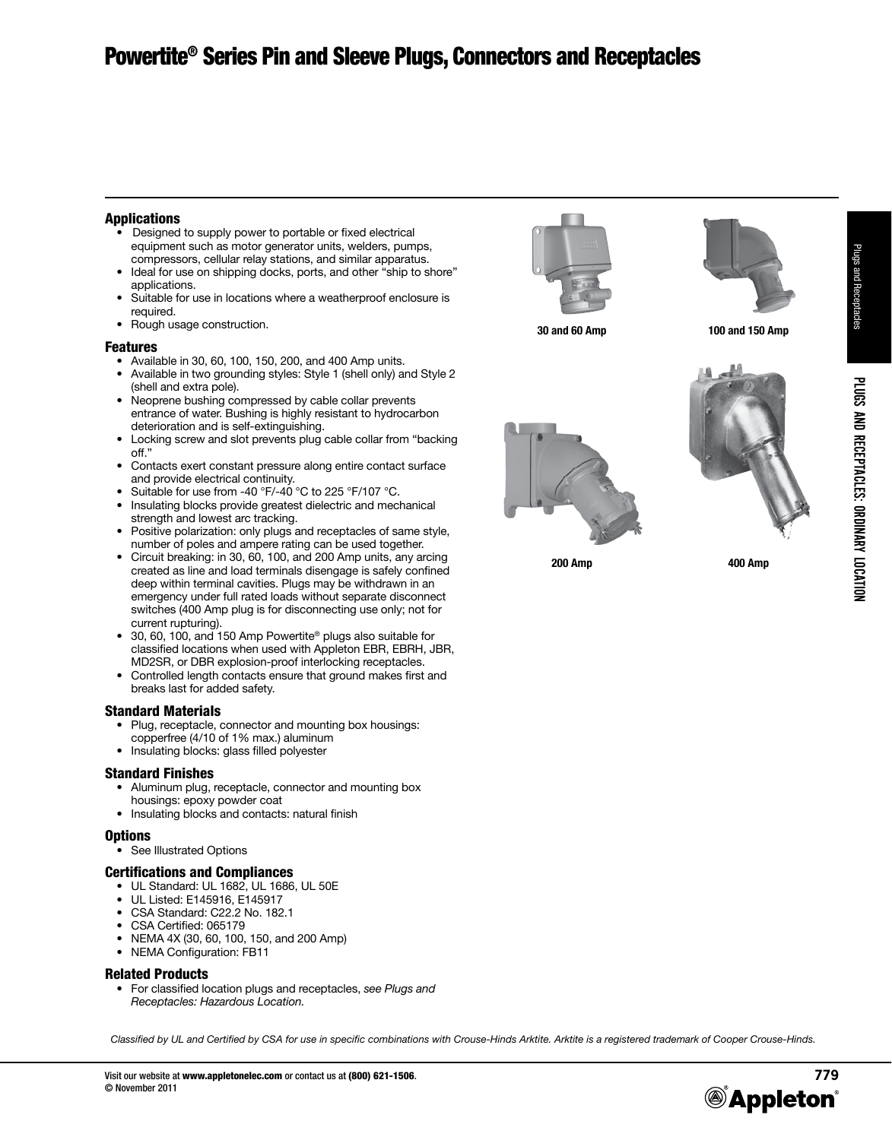## Applications

- Designed to supply power to portable or fixed electrical equipment such as motor generator units, welders, pumps, compressors, cellular relay stations, and similar apparatus.
- Ideal for use on shipping docks, ports, and other "ship to shore" applications.
- Suitable for use in locations where a weatherproof enclosure is required.
- •  Rough usage construction.

#### Features

- •  Available in 30, 60, 100, 150, 200, and 400 Amp units.
- Available in two grounding styles: Style 1 (shell only) and Style 2 (shell and extra pole).
- Neoprene bushing compressed by cable collar prevents entrance of water. Bushing is highly resistant to hydrocarbon deterioration and is self-extinguishing.
- •  Locking screw and slot prevents plug cable collar from "backing off."
- Contacts exert constant pressure along entire contact surface and provide electrical continuity.
- Suitable for use from -40 °F/-40 °C to 225 °F/107 °C.
- Insulating blocks provide greatest dielectric and mechanical strength and lowest arc tracking.
- Positive polarization: only plugs and receptacles of same style, number of poles and ampere rating can be used together.
- Circuit breaking: in 30, 60, 100, and 200 Amp units, any arcing created as line and load terminals disengage is safely confined deep within terminal cavities. Plugs may be withdrawn in an emergency under full rated loads without separate disconnect switches (400 Amp plug is for disconnecting use only; not for current rupturing).
- 30, 60, 100, and 150 Amp Powertite® plugs also suitable for classified locations when used with Appleton EBR, EBRH, JBR, MD2SR, or DBR explosion-proof interlocking receptacles.
- Controlled length contacts ensure that ground makes first and breaks last for added safety.

### Standard Materials

- Plug, receptacle, connector and mounting box housings: copperfree (4/10 of 1% max.) aluminum
- Insulating blocks: glass filled polyester

### Standard Finishes

- Aluminum plug, receptacle, connector and mounting box housings: epoxy powder coat
- Insulating blocks and contacts: natural finish

#### **Options**

• See Illustrated Options

### Certifications and Compliances

- UL Standard: UL 1682, UL 1686, UL 50E
- UL Listed: E145916, E145917
- CSA Standard: C22.2 No. 182.1
- CSA Certified: 065179
- NEMA 4X (30, 60, 100, 150, and 200 Amp)
- NEMA Configuration: FB11

### Related Products

• For classified location plugs and receptacles, *see Plugs and Receptacles: Hazardous Location.*

*Classified by UL and Certified by CSA for use in specific combinations with Crouse-Hinds Arktite. Arktite is a registered trademark of Cooper Crouse-Hinds.*





**30 and 60 Amp 100 and 150 Amp**





**200 Amp 400 Amp**

Plugs and Receptacles

Plugs and Receptacles

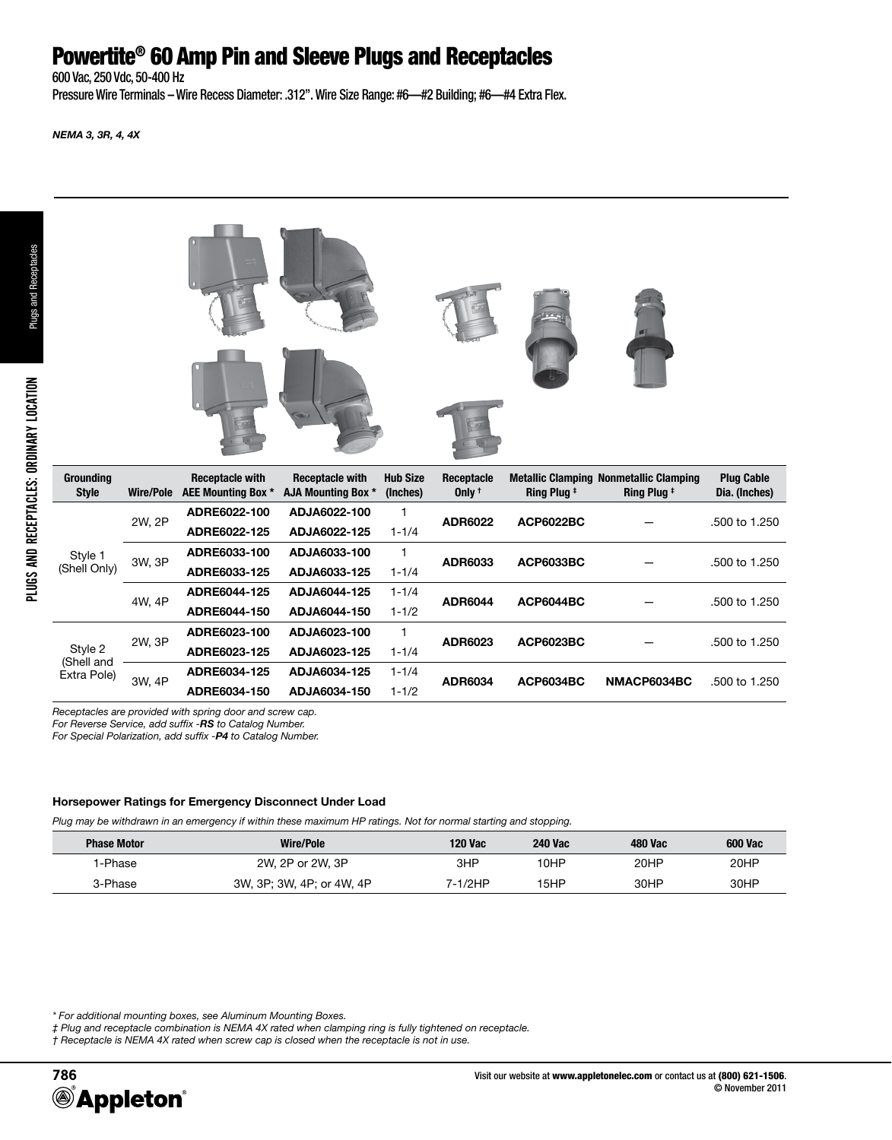# Powertite® 60 Amp Pin and Sleeve Plugs and Receptacles

600 Vac, 250 Vdc, 50-400 Hz

Pressure Wire Terminals – Wire Recess Diameter: .312". Wire Size Range: #6—#2 Building; #6—#4 Extra Flex.

*NEMA 3, 3R, 4, 4X*





| <b>Grounding</b><br><b>Style</b>     | Wire/Pole | <b>Receptacle with</b><br>AEE Mounting Box * | <b>Receptacle with</b><br>AJA Mounting Box * | <b>Hub Size</b><br>(Inches) | Receptacle<br>Only $†$ | <b>Ring Plug #</b> | <b>Metallic Clamping Nonmetallic Clamping</b><br><b>Ring Plug #</b> | <b>Plug Cable</b><br>Dia. (Inches) |
|--------------------------------------|-----------|----------------------------------------------|----------------------------------------------|-----------------------------|------------------------|--------------------|---------------------------------------------------------------------|------------------------------------|
| Style 1<br>(Shell Only)              | 2W. 2P    | ADRE6022-100                                 | ADJA6022-100                                 |                             | <b>ADR6022</b>         | <b>ACP6022BC</b>   |                                                                     | .500 to 1.250                      |
|                                      |           | ADRE6022-125                                 | ADJA6022-125                                 | $1 - 1/4$                   |                        |                    |                                                                     |                                    |
|                                      | 3W, 3P    | ADRE6033-100                                 | ADJA6033-100                                 |                             | ADR6033                | <b>ACP6033BC</b>   |                                                                     | .500 to 1.250                      |
|                                      |           | ADRE6033-125                                 | ADJA6033-125                                 | $1 - 1/4$                   |                        |                    |                                                                     |                                    |
|                                      | 4W, 4P    | ADRE6044-125                                 | ADJA6044-125                                 | $1 - 1/4$                   | <b>ADR6044</b>         | ACP6044BC          |                                                                     | .500 to 1.250                      |
|                                      |           | ADRE6044-150                                 | ADJA6044-150                                 | $1 - 1/2$                   |                        |                    |                                                                     |                                    |
| Style 2<br>(Shell and<br>Extra Pole) | 2W, 3P    | ADRE6023-100                                 | ADJA6023-100                                 |                             | ADR6023                | <b>ACP6023BC</b>   |                                                                     | .500 to 1.250                      |
|                                      |           | ADRE6023-125                                 | ADJA6023-125                                 | $1 - 1/4$                   |                        |                    |                                                                     |                                    |
|                                      | 3W, 4P    | ADRE6034-125                                 | ADJA6034-125                                 | $1 - 1/4$                   | <b>ADR6034</b>         | <b>ACP6034BC</b>   | NMACP6034BC                                                         | .500 to 1.250                      |
|                                      |           | ADRE6034-150                                 | ADJA6034-150                                 | $1 - 1/2$                   |                        |                    |                                                                     |                                    |

*Receptacles are provided with spring door and screw cap.*

*For Reverse Service, add suffix -RS to Catalog Number.*

*For Special Polarization, add suffix -P4 to Catalog Number.*

#### **Horsepower Ratings for Emergency Disconnect Under Load**

*Plug may be withdrawn in an emergency if within these maximum HP ratings. Not for normal starting and stopping.*

| <b>Phase Motor</b> | <b>Wire/Pole</b>          | 120 Vac | <b>240 Vac</b> | 480 Vac | <b>600 Vac</b> |
|--------------------|---------------------------|---------|----------------|---------|----------------|
| l-Phase            | 2W, 2P or 2W, 3P          | 3HP     | 10HP           | 20HP    | 20HP           |
| 3-Phase            | 3W, 3P; 3W, 4P; or 4W, 4P | 7-1/2HP | 15HP           | 30HP    | 30HP           |

*\* For additional mounting boxes, see Aluminum Mounting Boxes.*

*‡ Plug and receptacle combination is NEMA 4X rated when clamping ring is fully tightened on receptacle.* 

*† Receptacle is NEMA 4X rated when screw cap is closed when the receptacle is not in use.*